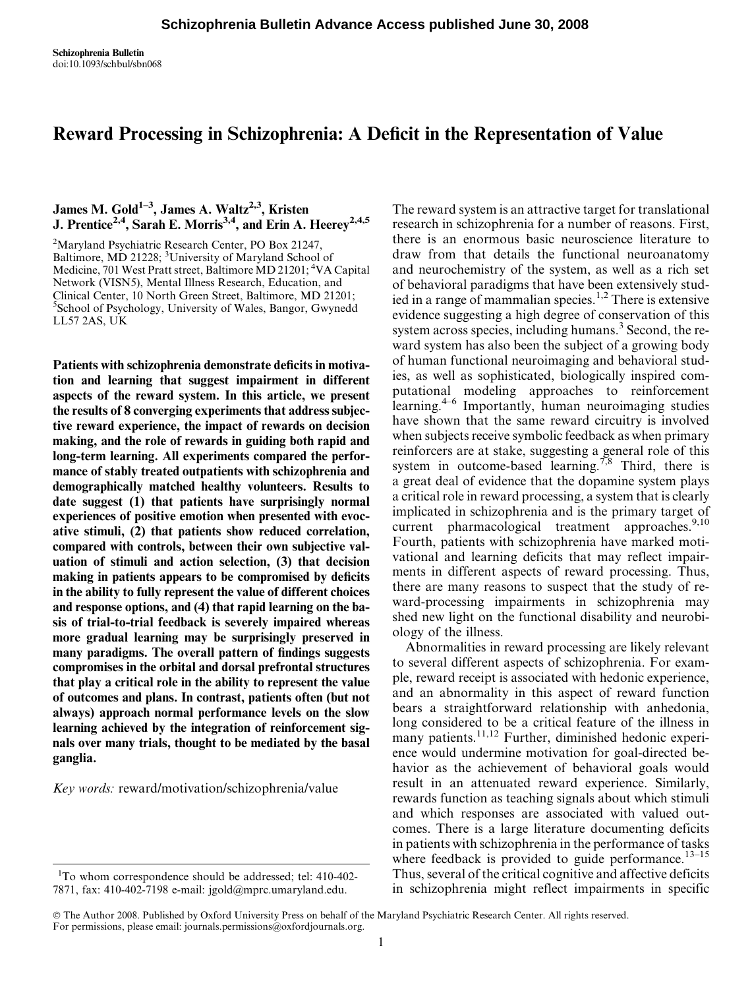# Reward Processing in Schizophrenia: A Deficit in the Representation of Value

# James M. Gold<sup>1-3</sup>, James A. Waltz<sup>2,3</sup>, Kristen J. Prentice<sup>2,4</sup>, Sarah E. Morris<sup>3,4</sup>, and Erin A. Heerey<sup>2,4,5</sup>

<sup>2</sup>Maryland Psychiatric Research Center, PO Box 21247, Baltimore, MD 21228; <sup>3</sup>University of Maryland School of Medicine, 701 West Pratt street, Baltimore MD 21201; <sup>4</sup>VA Capital Network (VISN5), Mental Illness Research, Education, and Clinical Center, 10 North Green Street, Baltimore, MD 21201; 5 School of Psychology, University of Wales, Bangor, Gwynedd LL57 2AS, UK

Patients with schizophrenia demonstrate deficits in motivation and learning that suggest impairment in different aspects of the reward system. In this article, we present the results of 8 converging experiments that address subjective reward experience, the impact of rewards on decision making, and the role of rewards in guiding both rapid and long-term learning. All experiments compared the performance of stably treated outpatients with schizophrenia and demographically matched healthy volunteers. Results to date suggest (1) that patients have surprisingly normal experiences of positive emotion when presented with evocative stimuli, (2) that patients show reduced correlation, compared with controls, between their own subjective valuation of stimuli and action selection, (3) that decision making in patients appears to be compromised by deficits in the ability to fully represent the value of different choices and response options, and (4) that rapid learning on the basis of trial-to-trial feedback is severely impaired whereas more gradual learning may be surprisingly preserved in many paradigms. The overall pattern of findings suggests compromises in the orbital and dorsal prefrontal structures that play a critical role in the ability to represent the value of outcomes and plans. In contrast, patients often (but not always) approach normal performance levels on the slow learning achieved by the integration of reinforcement signals over many trials, thought to be mediated by the basal ganglia.

Key words: reward/motivation/schizophrenia/value

The reward system is an attractive target for translational research in schizophrenia for a number of reasons. First, there is an enormous basic neuroscience literature to draw from that details the functional neuroanatomy and neurochemistry of the system, as well as a rich set of behavioral paradigms that have been extensively studied in a range of mammalian species.<sup>1,2</sup> There is extensive evidence suggesting a high degree of conservation of this system across species, including humans.<sup>3</sup> Second, the reward system has also been the subject of a growing body of human functional neuroimaging and behavioral studies, as well as sophisticated, biologically inspired computational modeling approaches to reinforcement learning. $4-6$  Importantly, human neuroimaging studies have shown that the same reward circuitry is involved when subjects receive symbolic feedback as when primary reinforcers are at stake, suggesting a general role of this system in outcome-based learning.<sup>7,8</sup> Third, there is a great deal of evidence that the dopamine system plays a critical role in reward processing, a system that is clearly implicated in schizophrenia and is the primary target of current pharmacological treatment approaches.<sup>9,10</sup> Fourth, patients with schizophrenia have marked motivational and learning deficits that may reflect impairments in different aspects of reward processing. Thus, there are many reasons to suspect that the study of reward-processing impairments in schizophrenia may shed new light on the functional disability and neurobiology of the illness.

Abnormalities in reward processing are likely relevant to several different aspects of schizophrenia. For example, reward receipt is associated with hedonic experience, and an abnormality in this aspect of reward function bears a straightforward relationship with anhedonia, long considered to be a critical feature of the illness in many patients.<sup>11,12</sup> Further, diminished hedonic experience would undermine motivation for goal-directed behavior as the achievement of behavioral goals would result in an attenuated reward experience. Similarly, rewards function as teaching signals about which stimuli and which responses are associated with valued outcomes. There is a large literature documenting deficits in patients with schizophrenia in the performance of tasks where feedback is provided to guide performance.<sup>13–15</sup> Thus, several of the critical cognitive and affective deficits in schizophrenia might reflect impairments in specific

<sup>&</sup>lt;sup>1</sup>To whom correspondence should be addressed; tel: 410-402-7871, fax: 410-402-7198 e-mail: jgold@mprc.umaryland.edu.

The Author 2008. Published by Oxford University Press on behalf of the Maryland Psychiatric Research Center. All rights reserved. For permissions, please email: journals.permissions@oxfordjournals.org.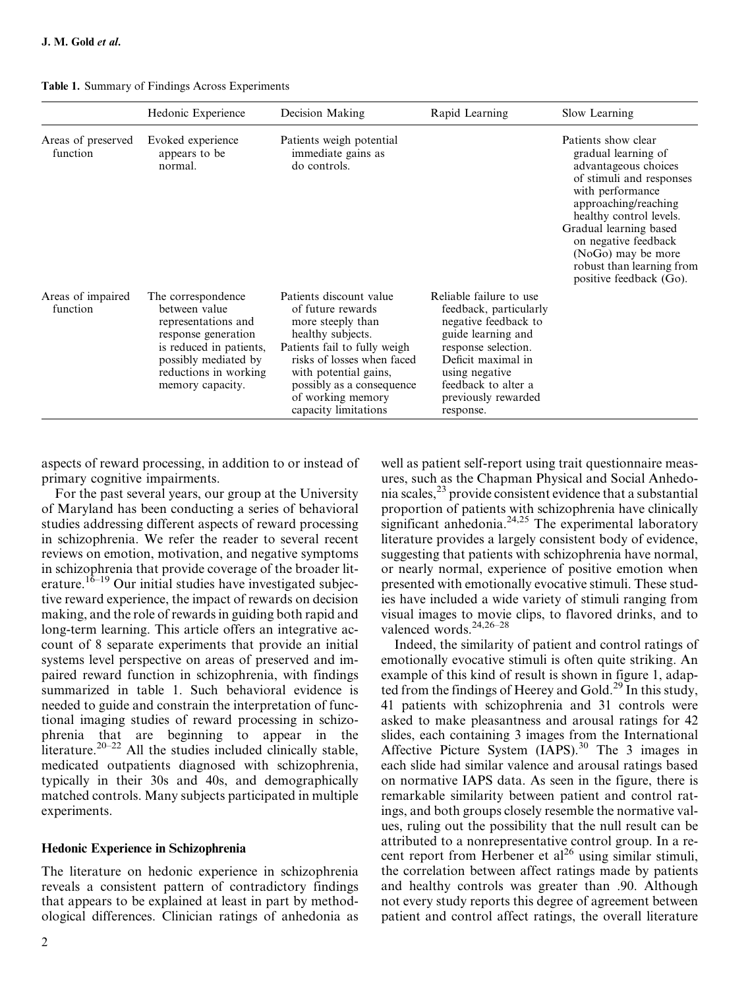|                                | Hedonic Experience                                                                                                                                                                | Decision Making                                                                                                                                                                                                                                         | Rapid Learning                                                                                                                                                                                                            | Slow Learning                                                                                                                                                                                                                                                                                         |
|--------------------------------|-----------------------------------------------------------------------------------------------------------------------------------------------------------------------------------|---------------------------------------------------------------------------------------------------------------------------------------------------------------------------------------------------------------------------------------------------------|---------------------------------------------------------------------------------------------------------------------------------------------------------------------------------------------------------------------------|-------------------------------------------------------------------------------------------------------------------------------------------------------------------------------------------------------------------------------------------------------------------------------------------------------|
| Areas of preserved<br>function | Evoked experience<br>appears to be<br>normal.                                                                                                                                     | Patients weigh potential<br>immediate gains as<br>do controls.                                                                                                                                                                                          |                                                                                                                                                                                                                           | Patients show clear<br>gradual learning of<br>advantageous choices<br>of stimuli and responses<br>with performance<br>approaching/reaching<br>healthy control levels.<br>Gradual learning based<br>on negative feedback<br>(NoGo) may be more<br>robust than learning from<br>positive feedback (Go). |
| Areas of impaired<br>function  | The correspondence<br>between value<br>representations and<br>response generation<br>is reduced in patients,<br>possibly mediated by<br>reductions in working<br>memory capacity. | Patients discount value<br>of future rewards<br>more steeply than<br>healthy subjects.<br>Patients fail to fully weigh<br>risks of losses when faced<br>with potential gains,<br>possibly as a consequence<br>of working memory<br>capacity limitations | Reliable failure to use<br>feedback, particularly<br>negative feedback to<br>guide learning and<br>response selection.<br>Deficit maximal in<br>using negative<br>feedback to alter a<br>previously rewarded<br>response. |                                                                                                                                                                                                                                                                                                       |

Table 1. Summary of Findings Across Experiments

aspects of reward processing, in addition to or instead of primary cognitive impairments.

For the past several years, our group at the University of Maryland has been conducting a series of behavioral studies addressing different aspects of reward processing in schizophrenia. We refer the reader to several recent reviews on emotion, motivation, and negative symptoms in schizophrenia that provide coverage of the broader literature.<sup>16-19</sup> Our initial studies have investigated subjective reward experience, the impact of rewards on decision making, and the role of rewards in guiding both rapid and long-term learning. This article offers an integrative account of 8 separate experiments that provide an initial systems level perspective on areas of preserved and impaired reward function in schizophrenia, with findings summarized in table 1. Such behavioral evidence is needed to guide and constrain the interpretation of functional imaging studies of reward processing in schizophrenia that are beginning to appear in the literature. $20-22$  All the studies included clinically stable, medicated outpatients diagnosed with schizophrenia, typically in their 30s and 40s, and demographically matched controls. Many subjects participated in multiple experiments.

## Hedonic Experience in Schizophrenia

The literature on hedonic experience in schizophrenia reveals a consistent pattern of contradictory findings that appears to be explained at least in part by methodological differences. Clinician ratings of anhedonia as

well as patient self-report using trait questionnaire measures, such as the Chapman Physical and Social Anhedonia scales, $^{23}$  provide consistent evidence that a substantial proportion of patients with schizophrenia have clinically significant anhedonia. $24,25$  The experimental laboratory literature provides a largely consistent body of evidence, suggesting that patients with schizophrenia have normal, or nearly normal, experience of positive emotion when presented with emotionally evocative stimuli. These studies have included a wide variety of stimuli ranging from visual images to movie clips, to flavored drinks, and to valenced words.<sup>24,26-28</sup>

Indeed, the similarity of patient and control ratings of emotionally evocative stimuli is often quite striking. An example of this kind of result is shown in figure 1, adapted from the findings of Heerey and Gold.<sup>29</sup> In this study, 41 patients with schizophrenia and 31 controls were asked to make pleasantness and arousal ratings for 42 slides, each containing 3 images from the International Affective Picture System  $(IAPS).^{30}$  The 3 images in each slide had similar valence and arousal ratings based on normative IAPS data. As seen in the figure, there is remarkable similarity between patient and control ratings, and both groups closely resemble the normative values, ruling out the possibility that the null result can be attributed to a nonrepresentative control group. In a recent report from Herbener et  $al^{26}$  using similar stimuli, the correlation between affect ratings made by patients and healthy controls was greater than .90. Although not every study reports this degree of agreement between patient and control affect ratings, the overall literature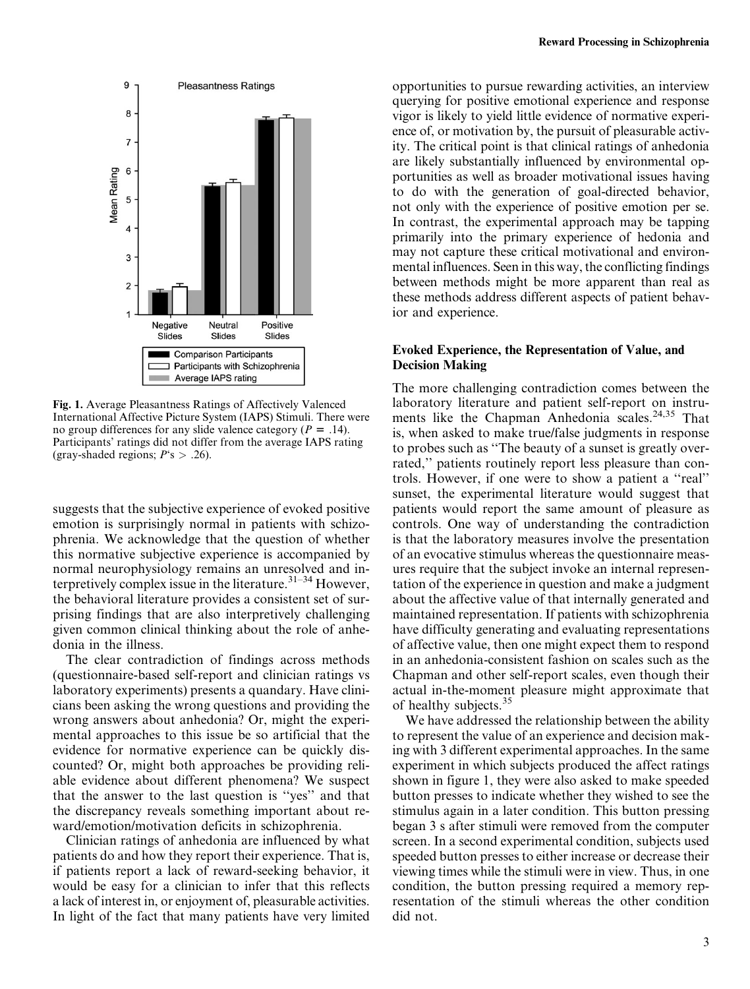

Fig. 1. Average Pleasantness Ratings of Affectively Valenced International Affective Picture System (IAPS) Stimuli. There were no group differences for any slide valence category ( $P = .14$ ). Participants' ratings did not differ from the average IAPS rating (gray-shaded regions;  $P$ 's  $> .26$ ).

suggests that the subjective experience of evoked positive emotion is surprisingly normal in patients with schizophrenia. We acknowledge that the question of whether this normative subjective experience is accompanied by normal neurophysiology remains an unresolved and interpretively complex issue in the literature.<sup>31-34</sup> However, the behavioral literature provides a consistent set of surprising findings that are also interpretively challenging given common clinical thinking about the role of anhedonia in the illness.

The clear contradiction of findings across methods (questionnaire-based self-report and clinician ratings vs laboratory experiments) presents a quandary. Have clinicians been asking the wrong questions and providing the wrong answers about anhedonia? Or, might the experimental approaches to this issue be so artificial that the evidence for normative experience can be quickly discounted? Or, might both approaches be providing reliable evidence about different phenomena? We suspect that the answer to the last question is ''yes'' and that the discrepancy reveals something important about reward/emotion/motivation deficits in schizophrenia.

Clinician ratings of anhedonia are influenced by what patients do and how they report their experience. That is, if patients report a lack of reward-seeking behavior, it would be easy for a clinician to infer that this reflects a lack of interest in, or enjoyment of, pleasurable activities. In light of the fact that many patients have very limited

opportunities to pursue rewarding activities, an interview querying for positive emotional experience and response vigor is likely to yield little evidence of normative experience of, or motivation by, the pursuit of pleasurable activity. The critical point is that clinical ratings of anhedonia are likely substantially influenced by environmental opportunities as well as broader motivational issues having to do with the generation of goal-directed behavior, not only with the experience of positive emotion per se. In contrast, the experimental approach may be tapping primarily into the primary experience of hedonia and may not capture these critical motivational and environmental influences. Seen in this way, the conflicting findings between methods might be more apparent than real as these methods address different aspects of patient behavior and experience.

# Evoked Experience, the Representation of Value, and Decision Making

The more challenging contradiction comes between the laboratory literature and patient self-report on instruments like the Chapman Anhedonia scales.<sup>24,35</sup> That is, when asked to make true/false judgments in response to probes such as ''The beauty of a sunset is greatly overrated,'' patients routinely report less pleasure than controls. However, if one were to show a patient a ''real'' sunset, the experimental literature would suggest that patients would report the same amount of pleasure as controls. One way of understanding the contradiction is that the laboratory measures involve the presentation of an evocative stimulus whereas the questionnaire measures require that the subject invoke an internal representation of the experience in question and make a judgment about the affective value of that internally generated and maintained representation. If patients with schizophrenia have difficulty generating and evaluating representations of affective value, then one might expect them to respond in an anhedonia-consistent fashion on scales such as the Chapman and other self-report scales, even though their actual in-the-moment pleasure might approximate that of healthy subjects.<sup>35</sup>

We have addressed the relationship between the ability to represent the value of an experience and decision making with 3 different experimental approaches. In the same experiment in which subjects produced the affect ratings shown in figure 1, they were also asked to make speeded button presses to indicate whether they wished to see the stimulus again in a later condition. This button pressing began 3 s after stimuli were removed from the computer screen. In a second experimental condition, subjects used speeded button presses to either increase or decrease their viewing times while the stimuli were in view. Thus, in one condition, the button pressing required a memory representation of the stimuli whereas the other condition did not.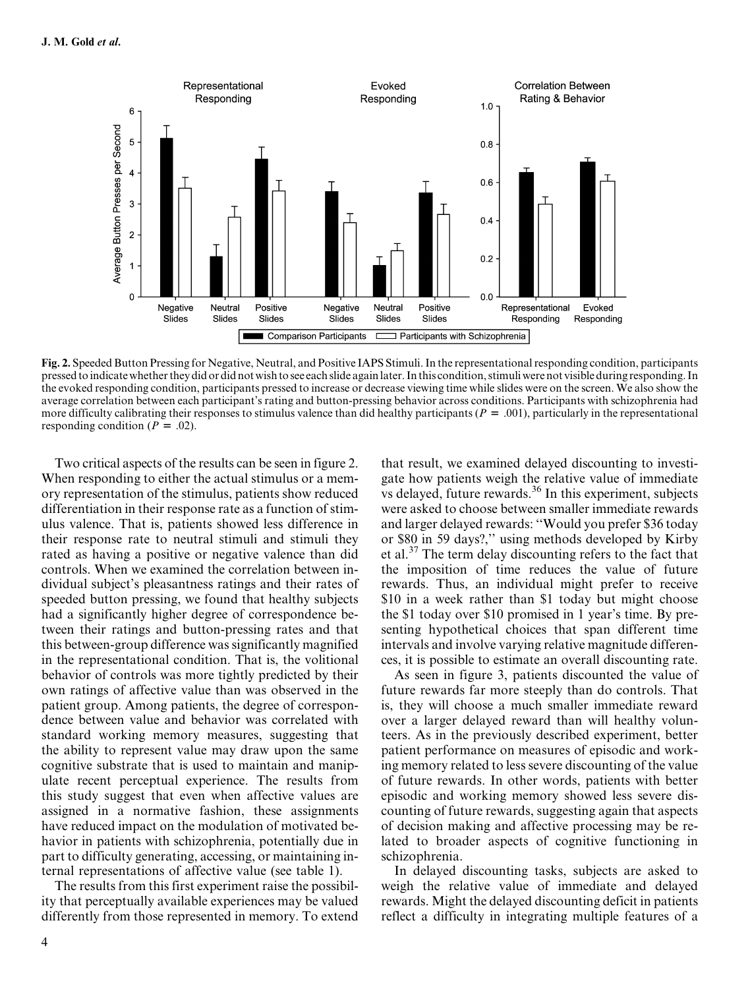

Fig. 2. Speeded Button Pressing for Negative, Neutral, and Positive IAPS Stimuli. In the representational responding condition, participants pressed to indicate whether they did or did not wish to see each slide again later. In this condition, stimuli were not visible during responding. In the evoked responding condition, participants pressed to increase or decrease viewing time while slides were on the screen. We also show the average correlation between each participant's rating and button-pressing behavior across conditions. Participants with schizophrenia had more difficulty calibrating their responses to stimulus valence than did healthy participants ( $P = .001$ ), particularly in the representational responding condition ( $P = .02$ ).

Two critical aspects of the results can be seen in figure 2. When responding to either the actual stimulus or a memory representation of the stimulus, patients show reduced differentiation in their response rate as a function of stimulus valence. That is, patients showed less difference in their response rate to neutral stimuli and stimuli they rated as having a positive or negative valence than did controls. When we examined the correlation between individual subject's pleasantness ratings and their rates of speeded button pressing, we found that healthy subjects had a significantly higher degree of correspondence between their ratings and button-pressing rates and that this between-group difference was significantly magnified in the representational condition. That is, the volitional behavior of controls was more tightly predicted by their own ratings of affective value than was observed in the patient group. Among patients, the degree of correspondence between value and behavior was correlated with standard working memory measures, suggesting that the ability to represent value may draw upon the same cognitive substrate that is used to maintain and manipulate recent perceptual experience. The results from this study suggest that even when affective values are assigned in a normative fashion, these assignments have reduced impact on the modulation of motivated behavior in patients with schizophrenia, potentially due in part to difficulty generating, accessing, or maintaining internal representations of affective value (see table 1).

The results from this first experiment raise the possibility that perceptually available experiences may be valued differently from those represented in memory. To extend

that result, we examined delayed discounting to investigate how patients weigh the relative value of immediate vs delayed, future rewards.<sup>36</sup> In this experiment, subjects were asked to choose between smaller immediate rewards and larger delayed rewards: ''Would you prefer \$36 today or \$80 in 59 days?,'' using methods developed by Kirby et al.<sup>37</sup> The term delay discounting refers to the fact that the imposition of time reduces the value of future rewards. Thus, an individual might prefer to receive \$10 in a week rather than \$1 today but might choose the \$1 today over \$10 promised in 1 year's time. By presenting hypothetical choices that span different time intervals and involve varying relative magnitude differences, it is possible to estimate an overall discounting rate.

As seen in figure 3, patients discounted the value of future rewards far more steeply than do controls. That is, they will choose a much smaller immediate reward over a larger delayed reward than will healthy volunteers. As in the previously described experiment, better patient performance on measures of episodic and working memory related to less severe discounting of the value of future rewards. In other words, patients with better episodic and working memory showed less severe discounting of future rewards, suggesting again that aspects of decision making and affective processing may be related to broader aspects of cognitive functioning in schizophrenia.

In delayed discounting tasks, subjects are asked to weigh the relative value of immediate and delayed rewards. Might the delayed discounting deficit in patients reflect a difficulty in integrating multiple features of a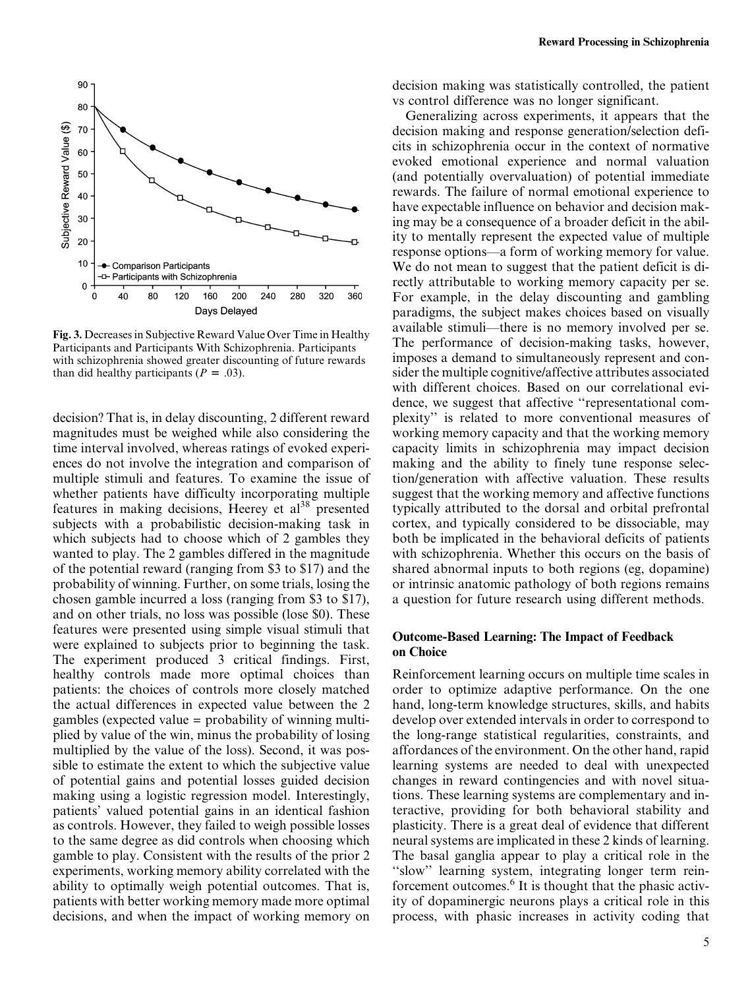

Fig. 3. Decreases in Subjective Reward Value Over Time in Healthy Participants and Participants With Schizophrenia. Participants with schizophrenia showed greater discounting of future rewards than did healthy participants ( $P = .03$ ).

decision? That is, in delay discounting, 2 different reward magnitudes must be weighed while also considering the time interval involved, whereas ratings of evoked experiences do not involve the integration and comparison of multiple stimuli and features. To examine the issue of whether patients have difficulty incorporating multiple features in making decisions, Heerey et  $al<sup>38</sup>$  presented subjects with a probabilistic decision-making task in which subjects had to choose which of 2 gambles they wanted to play. The 2 gambles differed in the magnitude of the potential reward (ranging from \$3 to \$17) and the probability of winning. Further, on some trials, losing the chosen gamble incurred a loss (ranging from \$3 to \$17), and on other trials, no loss was possible (lose \$0). These features were presented using simple visual stimuli that were explained to subjects prior to beginning the task. The experiment produced 3 critical findings. First, healthy controls made more optimal choices than patients: the choices of controls more closely matched the actual differences in expected value between the 2 gambles (expected value *=* probability of winning multiplied by value of the win, minus the probability of losing multiplied by the value of the loss). Second, it was possible to estimate the extent to which the subjective value of potential gains and potential losses guided decision making using a logistic regression model. Interestingly, patients' valued potential gains in an identical fashion as controls. However, they failed to weigh possible losses to the same degree as did controls when choosing which gamble to play. Consistent with the results of the prior 2 experiments, working memory ability correlated with the ability to optimally weigh potential outcomes. That is, patients with better working memory made more optimal decisions, and when the impact of working memory on

decision making was statistically controlled, the patient vs control difference was no longer significant.

Generalizing across experiments, it appears that the decision making and response generation/selection deficits in schizophrenia occur in the context of normative evoked emotional experience and normal valuation (and potentially overvaluation) of potential immediate rewards. The failure of normal emotional experience to have expectable influence on behavior and decision making may be a consequence of a broader deficit in the ability to mentally represent the expected value of multiple response options—a form of working memory for value. We do not mean to suggest that the patient deficit is directly attributable to working memory capacity per se. For example, in the delay discounting and gambling paradigms, the subject makes choices based on visually available stimuli—there is no memory involved per se. The performance of decision-making tasks, however, imposes a demand to simultaneously represent and consider the multiple cognitive/affective attributes associated with different choices. Based on our correlational evidence, we suggest that affective ''representational complexity'' is related to more conventional measures of working memory capacity and that the working memory capacity limits in schizophrenia may impact decision making and the ability to finely tune response selection/generation with affective valuation. These results suggest that the working memory and affective functions typically attributed to the dorsal and orbital prefrontal cortex, and typically considered to be dissociable, may both be implicated in the behavioral deficits of patients with schizophrenia. Whether this occurs on the basis of shared abnormal inputs to both regions (eg, dopamine) or intrinsic anatomic pathology of both regions remains a question for future research using different methods.

#### Outcome-Based Learning: The Impact of Feedback on Choice

Reinforcement learning occurs on multiple time scales in order to optimize adaptive performance. On the one hand, long-term knowledge structures, skills, and habits develop over extended intervals in order to correspond to the long-range statistical regularities, constraints, and affordances of the environment. On the other hand, rapid learning systems are needed to deal with unexpected changes in reward contingencies and with novel situations. These learning systems are complementary and interactive, providing for both behavioral stability and plasticity. There is a great deal of evidence that different neural systems are implicated in these 2 kinds of learning. The basal ganglia appear to play a critical role in the ''slow'' learning system, integrating longer term reinforcement outcomes.<sup>6</sup> It is thought that the phasic activity of dopaminergic neurons plays a critical role in this process, with phasic increases in activity coding that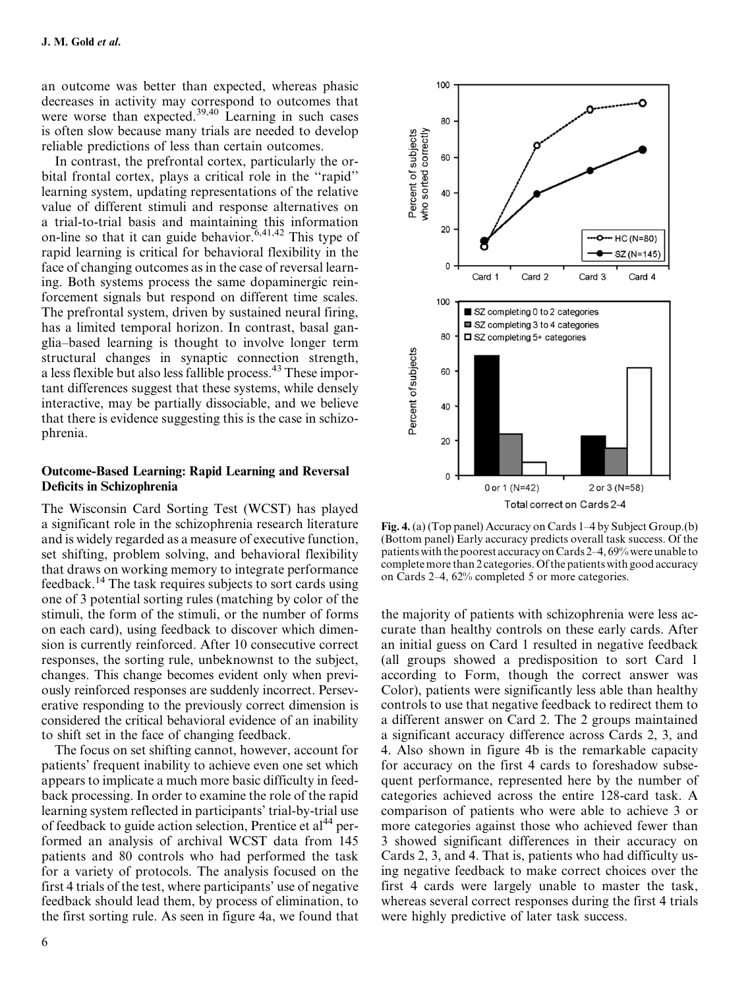an outcome was better than expected, whereas phasic decreases in activity may correspond to outcomes that were worse than expected.<sup>39,40</sup> Learning in such cases is often slow because many trials are needed to develop reliable predictions of less than certain outcomes.

In contrast, the prefrontal cortex, particularly the orbital frontal cortex, plays a critical role in the ''rapid'' learning system, updating representations of the relative value of different stimuli and response alternatives on a trial-to-trial basis and maintaining this information on-line so that it can guide behavior.  $6,41,42$  This type of rapid learning is critical for behavioral flexibility in the face of changing outcomes as in the case of reversal learning. Both systems process the same dopaminergic reinforcement signals but respond on different time scales. The prefrontal system, driven by sustained neural firing, has a limited temporal horizon. In contrast, basal ganglia–based learning is thought to involve longer term structural changes in synaptic connection strength, a less flexible but also less fallible process.<sup>43</sup> These important differences suggest that these systems, while densely interactive, may be partially dissociable, and we believe that there is evidence suggesting this is the case in schizophrenia.

### Outcome-Based Learning: Rapid Learning and Reversal Deficits in Schizophrenia

The Wisconsin Card Sorting Test (WCST) has played a significant role in the schizophrenia research literature and is widely regarded as a measure of executive function, set shifting, problem solving, and behavioral flexibility that draws on working memory to integrate performance feedback.<sup>14</sup> The task requires subjects to sort cards using one of 3 potential sorting rules (matching by color of the stimuli, the form of the stimuli, or the number of forms on each card), using feedback to discover which dimension is currently reinforced. After 10 consecutive correct responses, the sorting rule, unbeknownst to the subject, changes. This change becomes evident only when previously reinforced responses are suddenly incorrect. Perseverative responding to the previously correct dimension is considered the critical behavioral evidence of an inability to shift set in the face of changing feedback.

The focus on set shifting cannot, however, account for patients' frequent inability to achieve even one set which appears to implicate a much more basic difficulty in feedback processing. In order to examine the role of the rapid learning system reflected in participants' trial-by-trial use of feedback to guide action selection, Prentice et  $al<sup>44</sup>$  performed an analysis of archival WCST data from 145 patients and 80 controls who had performed the task for a variety of protocols. The analysis focused on the first 4 trials of the test, where participants' use of negative feedback should lead them, by process of elimination, to the first sorting rule. As seen in figure 4a, we found that



Fig. 4. (a) (Top panel) Accuracy on Cards 1–4 by Subject Group.(b) (Bottom panel) Early accuracy predicts overall task success. Of the patients with the poorest accuracy on Cards 2–4, 69% were unable to complete more than 2 categories. Of the patients with good accuracy on Cards 2–4, 62% completed 5 or more categories.

the majority of patients with schizophrenia were less accurate than healthy controls on these early cards. After an initial guess on Card 1 resulted in negative feedback (all groups showed a predisposition to sort Card 1 according to Form, though the correct answer was Color), patients were significantly less able than healthy controls to use that negative feedback to redirect them to a different answer on Card 2. The 2 groups maintained a significant accuracy difference across Cards 2, 3, and 4. Also shown in figure 4b is the remarkable capacity for accuracy on the first 4 cards to foreshadow subsequent performance, represented here by the number of categories achieved across the entire 128-card task. A comparison of patients who were able to achieve 3 or more categories against those who achieved fewer than 3 showed significant differences in their accuracy on Cards 2, 3, and 4. That is, patients who had difficulty using negative feedback to make correct choices over the first 4 cards were largely unable to master the task, whereas several correct responses during the first 4 trials were highly predictive of later task success.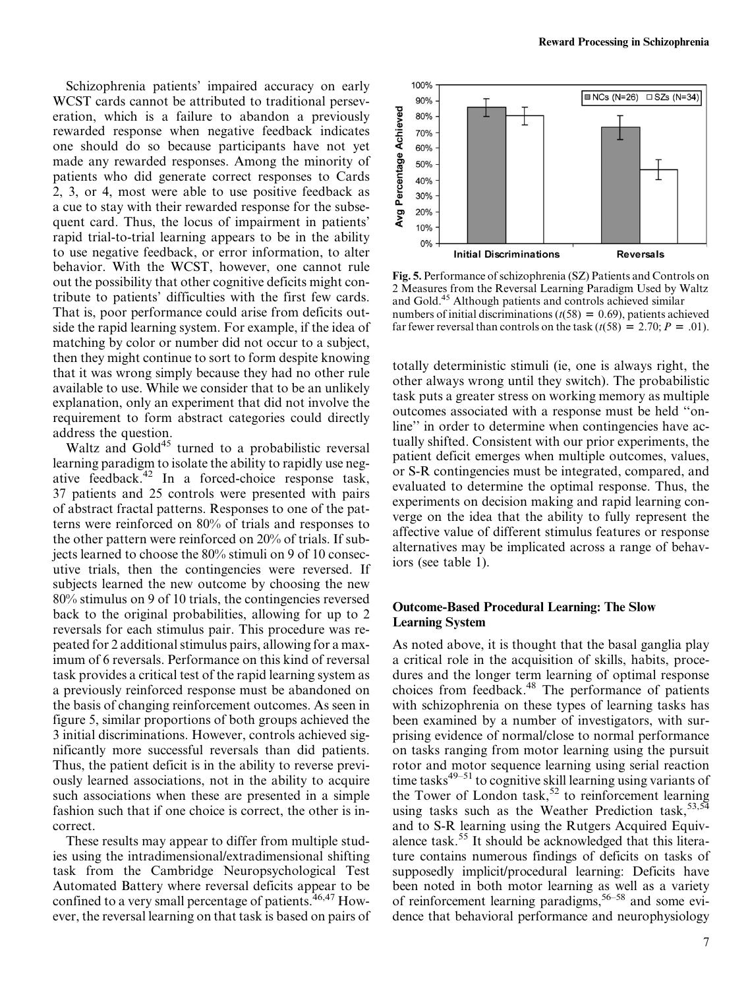Schizophrenia patients' impaired accuracy on early WCST cards cannot be attributed to traditional perseveration, which is a failure to abandon a previously rewarded response when negative feedback indicates one should do so because participants have not yet made any rewarded responses. Among the minority of patients who did generate correct responses to Cards 2, 3, or 4, most were able to use positive feedback as a cue to stay with their rewarded response for the subsequent card. Thus, the locus of impairment in patients' rapid trial-to-trial learning appears to be in the ability to use negative feedback, or error information, to alter behavior. With the WCST, however, one cannot rule out the possibility that other cognitive deficits might contribute to patients' difficulties with the first few cards. That is, poor performance could arise from deficits outside the rapid learning system. For example, if the idea of matching by color or number did not occur to a subject, then they might continue to sort to form despite knowing that it was wrong simply because they had no other rule available to use. While we consider that to be an unlikely explanation, only an experiment that did not involve the requirement to form abstract categories could directly address the question.

Waltz and Gold<sup>45</sup> turned to a probabilistic reversal learning paradigm to isolate the ability to rapidly use negative feedback.<sup>42</sup> In a forced-choice response task, 37 patients and 25 controls were presented with pairs of abstract fractal patterns. Responses to one of the patterns were reinforced on 80% of trials and responses to the other pattern were reinforced on 20% of trials. If subjects learned to choose the 80% stimuli on 9 of 10 consecutive trials, then the contingencies were reversed. If subjects learned the new outcome by choosing the new 80% stimulus on 9 of 10 trials, the contingencies reversed back to the original probabilities, allowing for up to 2 reversals for each stimulus pair. This procedure was repeated for 2 additional stimulus pairs, allowing for a maximum of 6 reversals. Performance on this kind of reversal task provides a critical test of the rapid learning system as a previously reinforced response must be abandoned on the basis of changing reinforcement outcomes. As seen in figure 5, similar proportions of both groups achieved the 3 initial discriminations. However, controls achieved significantly more successful reversals than did patients. Thus, the patient deficit is in the ability to reverse previously learned associations, not in the ability to acquire such associations when these are presented in a simple fashion such that if one choice is correct, the other is incorrect.

These results may appear to differ from multiple studies using the intradimensional/extradimensional shifting task from the Cambridge Neuropsychological Test Automated Battery where reversal deficits appear to be confined to a very small percentage of patients. $46,47$  However, the reversal learning on that task is based on pairs of



Fig. 5. Performance of schizophrenia (SZ) Patients and Controls on 2 Measures from the Reversal Learning Paradigm Used by Waltz and Gold.<sup>45</sup> Although patients and controls achieved similar numbers of initial discriminations ( $t(58) = 0.69$ ), patients achieved far fewer reversal than controls on the task  $(t(58) = 2.70; P = .01)$ .

totally deterministic stimuli (ie, one is always right, the other always wrong until they switch). The probabilistic task puts a greater stress on working memory as multiple outcomes associated with a response must be held ''online'' in order to determine when contingencies have actually shifted. Consistent with our prior experiments, the patient deficit emerges when multiple outcomes, values, or S-R contingencies must be integrated, compared, and evaluated to determine the optimal response. Thus, the experiments on decision making and rapid learning converge on the idea that the ability to fully represent the affective value of different stimulus features or response alternatives may be implicated across a range of behaviors (see table 1).

### Outcome-Based Procedural Learning: The Slow Learning System

As noted above, it is thought that the basal ganglia play a critical role in the acquisition of skills, habits, procedures and the longer term learning of optimal response choices from feedback.<sup>48</sup> The performance of patients with schizophrenia on these types of learning tasks has been examined by a number of investigators, with surprising evidence of normal/close to normal performance on tasks ranging from motor learning using the pursuit rotor and motor sequence learning using serial reaction time tasks<sup>49–51</sup> to cognitive skill learning using variants of the Tower of London task,<sup>52</sup> to reinforcement learning using tasks such as the Weather Prediction task,  $53,54$ and to S-R learning using the Rutgers Acquired Equivalence task.<sup>55</sup> It should be acknowledged that this literature contains numerous findings of deficits on tasks of supposedly implicit/procedural learning: Deficits have been noted in both motor learning as well as a variety of reinforcement learning paradigms,  $56-58$  and some evidence that behavioral performance and neurophysiology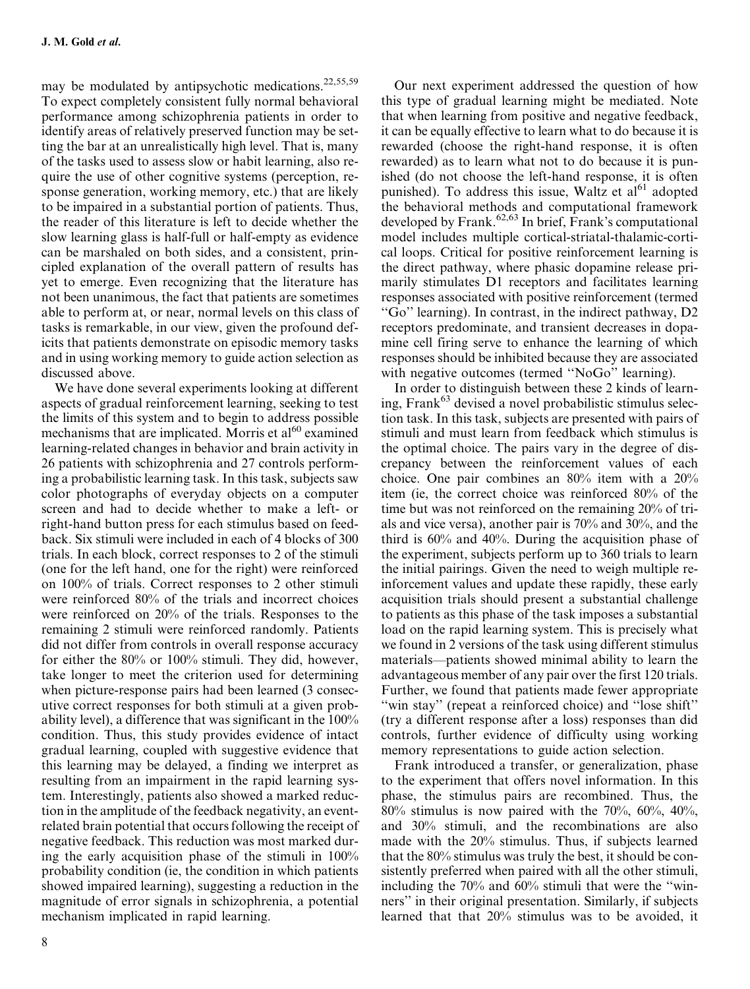may be modulated by antipsychotic medications. $22,55,59$ To expect completely consistent fully normal behavioral performance among schizophrenia patients in order to identify areas of relatively preserved function may be setting the bar at an unrealistically high level. That is, many of the tasks used to assess slow or habit learning, also require the use of other cognitive systems (perception, response generation, working memory, etc.) that are likely to be impaired in a substantial portion of patients. Thus, the reader of this literature is left to decide whether the slow learning glass is half-full or half-empty as evidence can be marshaled on both sides, and a consistent, principled explanation of the overall pattern of results has yet to emerge. Even recognizing that the literature has not been unanimous, the fact that patients are sometimes able to perform at, or near, normal levels on this class of tasks is remarkable, in our view, given the profound deficits that patients demonstrate on episodic memory tasks and in using working memory to guide action selection as discussed above.

We have done several experiments looking at different aspects of gradual reinforcement learning, seeking to test the limits of this system and to begin to address possible mechanisms that are implicated. Morris et  $al^{60}$  examined learning-related changes in behavior and brain activity in 26 patients with schizophrenia and 27 controls performing a probabilistic learning task. In this task, subjects saw color photographs of everyday objects on a computer screen and had to decide whether to make a left- or right-hand button press for each stimulus based on feedback. Six stimuli were included in each of 4 blocks of 300 trials. In each block, correct responses to 2 of the stimuli (one for the left hand, one for the right) were reinforced on 100% of trials. Correct responses to 2 other stimuli were reinforced 80% of the trials and incorrect choices were reinforced on 20% of the trials. Responses to the remaining 2 stimuli were reinforced randomly. Patients did not differ from controls in overall response accuracy for either the 80% or 100% stimuli. They did, however, take longer to meet the criterion used for determining when picture-response pairs had been learned (3 consecutive correct responses for both stimuli at a given probability level), a difference that was significant in the 100% condition. Thus, this study provides evidence of intact gradual learning, coupled with suggestive evidence that this learning may be delayed, a finding we interpret as resulting from an impairment in the rapid learning system. Interestingly, patients also showed a marked reduction in the amplitude of the feedback negativity, an eventrelated brain potential that occurs following the receipt of negative feedback. This reduction was most marked during the early acquisition phase of the stimuli in 100% probability condition (ie, the condition in which patients showed impaired learning), suggesting a reduction in the magnitude of error signals in schizophrenia, a potential mechanism implicated in rapid learning.

Our next experiment addressed the question of how this type of gradual learning might be mediated. Note that when learning from positive and negative feedback, it can be equally effective to learn what to do because it is rewarded (choose the right-hand response, it is often rewarded) as to learn what not to do because it is punished (do not choose the left-hand response, it is often punished). To address this issue, Waltz et al<sup>61</sup> adopted the behavioral methods and computational framework developed by Frank.<sup>62,63</sup> In brief, Frank's computational model includes multiple cortical-striatal-thalamic-cortical loops. Critical for positive reinforcement learning is the direct pathway, where phasic dopamine release primarily stimulates D1 receptors and facilitates learning responses associated with positive reinforcement (termed ''Go'' learning). In contrast, in the indirect pathway, D2 receptors predominate, and transient decreases in dopamine cell firing serve to enhance the learning of which responses should be inhibited because they are associated with negative outcomes (termed "NoGo" learning).

In order to distinguish between these 2 kinds of learning, Frank<sup>63</sup> devised a novel probabilistic stimulus selection task. In this task, subjects are presented with pairs of stimuli and must learn from feedback which stimulus is the optimal choice. The pairs vary in the degree of discrepancy between the reinforcement values of each choice. One pair combines an 80% item with a 20% item (ie, the correct choice was reinforced 80% of the time but was not reinforced on the remaining 20% of trials and vice versa), another pair is 70% and 30%, and the third is 60% and 40%. During the acquisition phase of the experiment, subjects perform up to 360 trials to learn the initial pairings. Given the need to weigh multiple reinforcement values and update these rapidly, these early acquisition trials should present a substantial challenge to patients as this phase of the task imposes a substantial load on the rapid learning system. This is precisely what we found in 2 versions of the task using different stimulus materials—patients showed minimal ability to learn the advantageous member of any pair over the first 120 trials. Further, we found that patients made fewer appropriate ''win stay'' (repeat a reinforced choice) and ''lose shift'' (try a different response after a loss) responses than did controls, further evidence of difficulty using working memory representations to guide action selection.

Frank introduced a transfer, or generalization, phase to the experiment that offers novel information. In this phase, the stimulus pairs are recombined. Thus, the  $80\%$  stimulus is now paired with the 70%, 60%, 40%, and 30% stimuli, and the recombinations are also made with the 20% stimulus. Thus, if subjects learned that the 80% stimulus was truly the best, it should be consistently preferred when paired with all the other stimuli, including the 70% and 60% stimuli that were the ''winners'' in their original presentation. Similarly, if subjects learned that that 20% stimulus was to be avoided, it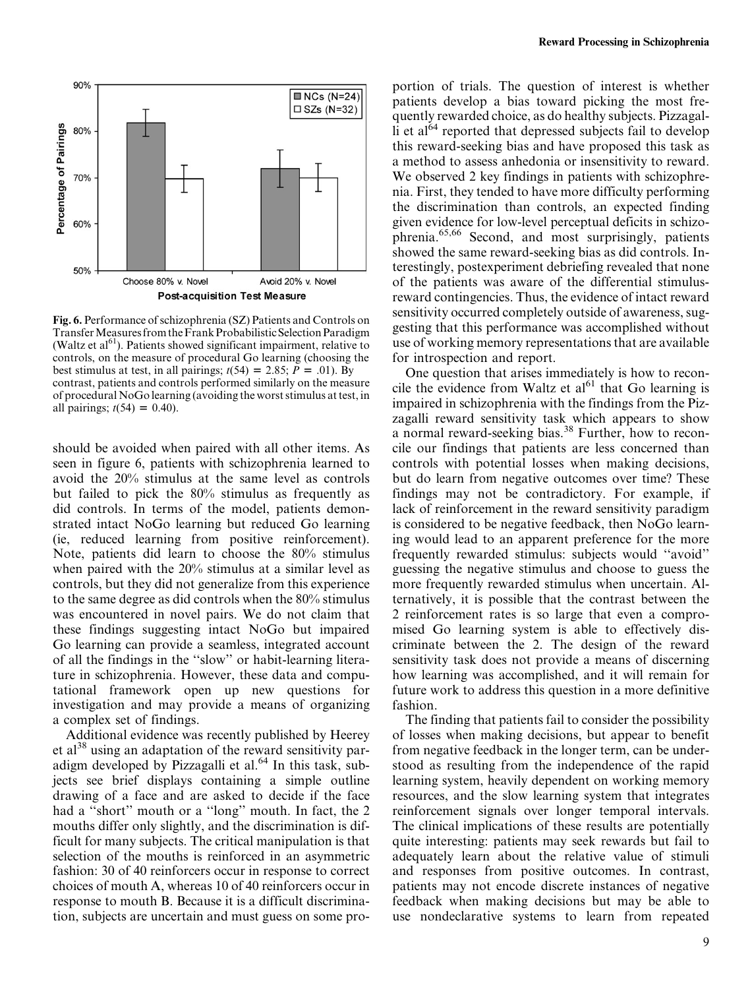

Fig. 6. Performance of schizophrenia (SZ) Patients and Controls on Transfer Measures from the Frank Probabilistic Selection Paradigm (Waltz et  $a_1^{61}$ ). Patients showed significant impairment, relative to controls, on the measure of procedural Go learning (choosing the best stimulus at test, in all pairings;  $t(54) = 2.85$ ;  $\overline{P} = .01$ ). By contrast, patients and controls performed similarly on the measure of procedural NoGo learning (avoiding the worst stimulus at test, in all pairings;  $t(54) = 0.40$ .

should be avoided when paired with all other items. As seen in figure 6, patients with schizophrenia learned to avoid the 20% stimulus at the same level as controls but failed to pick the 80% stimulus as frequently as did controls. In terms of the model, patients demonstrated intact NoGo learning but reduced Go learning (ie, reduced learning from positive reinforcement). Note, patients did learn to choose the 80% stimulus when paired with the 20% stimulus at a similar level as controls, but they did not generalize from this experience to the same degree as did controls when the 80% stimulus was encountered in novel pairs. We do not claim that these findings suggesting intact NoGo but impaired Go learning can provide a seamless, integrated account of all the findings in the ''slow'' or habit-learning literature in schizophrenia. However, these data and computational framework open up new questions for investigation and may provide a means of organizing a complex set of findings.

Additional evidence was recently published by Heerey et al<sup>38</sup> using an adaptation of the reward sensitivity paradigm developed by Pizzagalli et al.<sup>64</sup> In this task, subjects see brief displays containing a simple outline drawing of a face and are asked to decide if the face had a ''short'' mouth or a ''long'' mouth. In fact, the 2 mouths differ only slightly, and the discrimination is difficult for many subjects. The critical manipulation is that selection of the mouths is reinforced in an asymmetric fashion: 30 of 40 reinforcers occur in response to correct choices of mouth A, whereas 10 of 40 reinforcers occur in response to mouth B. Because it is a difficult discrimination, subjects are uncertain and must guess on some proportion of trials. The question of interest is whether patients develop a bias toward picking the most frequently rewarded choice, as do healthy subjects. Pizzagalli et  $al<sup>64</sup>$  reported that depressed subjects fail to develop this reward-seeking bias and have proposed this task as a method to assess anhedonia or insensitivity to reward. We observed 2 key findings in patients with schizophrenia. First, they tended to have more difficulty performing the discrimination than controls, an expected finding given evidence for low-level perceptual deficits in schizophrenia.65,66 Second, and most surprisingly, patients showed the same reward-seeking bias as did controls. Interestingly, postexperiment debriefing revealed that none of the patients was aware of the differential stimulusreward contingencies. Thus, the evidence of intact reward sensitivity occurred completely outside of awareness, suggesting that this performance was accomplished without use of working memory representations that are available for introspection and report.

One question that arises immediately is how to reconcile the evidence from Waltz et  $al<sup>61</sup>$  that Go learning is impaired in schizophrenia with the findings from the Pizzagalli reward sensitivity task which appears to show a normal reward-seeking bias.<sup>38</sup> Further, how to reconcile our findings that patients are less concerned than controls with potential losses when making decisions, but do learn from negative outcomes over time? These findings may not be contradictory. For example, if lack of reinforcement in the reward sensitivity paradigm is considered to be negative feedback, then NoGo learning would lead to an apparent preference for the more frequently rewarded stimulus: subjects would ''avoid'' guessing the negative stimulus and choose to guess the more frequently rewarded stimulus when uncertain. Alternatively, it is possible that the contrast between the 2 reinforcement rates is so large that even a compromised Go learning system is able to effectively discriminate between the 2. The design of the reward sensitivity task does not provide a means of discerning how learning was accomplished, and it will remain for future work to address this question in a more definitive fashion.

The finding that patients fail to consider the possibility of losses when making decisions, but appear to benefit from negative feedback in the longer term, can be understood as resulting from the independence of the rapid learning system, heavily dependent on working memory resources, and the slow learning system that integrates reinforcement signals over longer temporal intervals. The clinical implications of these results are potentially quite interesting: patients may seek rewards but fail to adequately learn about the relative value of stimuli and responses from positive outcomes. In contrast, patients may not encode discrete instances of negative feedback when making decisions but may be able to use nondeclarative systems to learn from repeated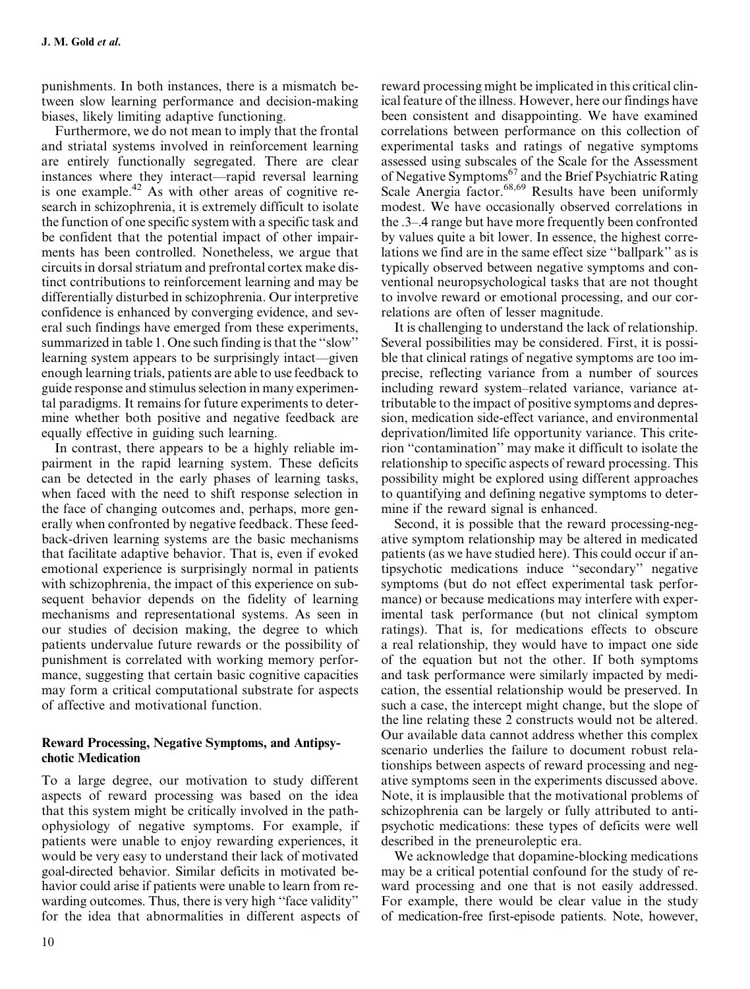punishments. In both instances, there is a mismatch between slow learning performance and decision-making biases, likely limiting adaptive functioning.

Furthermore, we do not mean to imply that the frontal and striatal systems involved in reinforcement learning are entirely functionally segregated. There are clear instances where they interact—rapid reversal learning is one example.<sup>42</sup> As with other areas of cognitive research in schizophrenia, it is extremely difficult to isolate the function of one specific system with a specific task and be confident that the potential impact of other impairments has been controlled. Nonetheless, we argue that circuits in dorsal striatum and prefrontal cortex make distinct contributions to reinforcement learning and may be differentially disturbed in schizophrenia. Our interpretive confidence is enhanced by converging evidence, and several such findings have emerged from these experiments, summarized in table 1. One such finding is that the ''slow'' learning system appears to be surprisingly intact—given enough learning trials, patients are able to use feedback to guide response and stimulus selection in many experimental paradigms. It remains for future experiments to determine whether both positive and negative feedback are equally effective in guiding such learning.

In contrast, there appears to be a highly reliable impairment in the rapid learning system. These deficits can be detected in the early phases of learning tasks, when faced with the need to shift response selection in the face of changing outcomes and, perhaps, more generally when confronted by negative feedback. These feedback-driven learning systems are the basic mechanisms that facilitate adaptive behavior. That is, even if evoked emotional experience is surprisingly normal in patients with schizophrenia, the impact of this experience on subsequent behavior depends on the fidelity of learning mechanisms and representational systems. As seen in our studies of decision making, the degree to which patients undervalue future rewards or the possibility of punishment is correlated with working memory performance, suggesting that certain basic cognitive capacities may form a critical computational substrate for aspects of affective and motivational function.

# Reward Processing, Negative Symptoms, and Antipsychotic Medication

To a large degree, our motivation to study different aspects of reward processing was based on the idea that this system might be critically involved in the pathophysiology of negative symptoms. For example, if patients were unable to enjoy rewarding experiences, it would be very easy to understand their lack of motivated goal-directed behavior. Similar deficits in motivated behavior could arise if patients were unable to learn from rewarding outcomes. Thus, there is very high "face validity" for the idea that abnormalities in different aspects of reward processing might be implicated in this critical clinical feature of the illness. However, here our findings have been consistent and disappointing. We have examined correlations between performance on this collection of experimental tasks and ratings of negative symptoms assessed using subscales of the Scale for the Assessment of Negative Symptoms<sup>67</sup> and the Brief Psychiatric Rating Scale Anergia factor.<sup>68,69</sup> Results have been uniformly modest. We have occasionally observed correlations in the .3–.4 range but have more frequently been confronted by values quite a bit lower. In essence, the highest correlations we find are in the same effect size ''ballpark'' as is typically observed between negative symptoms and conventional neuropsychological tasks that are not thought to involve reward or emotional processing, and our correlations are often of lesser magnitude.

It is challenging to understand the lack of relationship. Several possibilities may be considered. First, it is possible that clinical ratings of negative symptoms are too imprecise, reflecting variance from a number of sources including reward system–related variance, variance attributable to the impact of positive symptoms and depression, medication side-effect variance, and environmental deprivation/limited life opportunity variance. This criterion ''contamination'' may make it difficult to isolate the relationship to specific aspects of reward processing. This possibility might be explored using different approaches to quantifying and defining negative symptoms to determine if the reward signal is enhanced.

Second, it is possible that the reward processing-negative symptom relationship may be altered in medicated patients (as we have studied here). This could occur if antipsychotic medications induce ''secondary'' negative symptoms (but do not effect experimental task performance) or because medications may interfere with experimental task performance (but not clinical symptom ratings). That is, for medications effects to obscure a real relationship, they would have to impact one side of the equation but not the other. If both symptoms and task performance were similarly impacted by medication, the essential relationship would be preserved. In such a case, the intercept might change, but the slope of the line relating these 2 constructs would not be altered. Our available data cannot address whether this complex scenario underlies the failure to document robust relationships between aspects of reward processing and negative symptoms seen in the experiments discussed above. Note, it is implausible that the motivational problems of schizophrenia can be largely or fully attributed to antipsychotic medications: these types of deficits were well described in the preneuroleptic era.

We acknowledge that dopamine-blocking medications may be a critical potential confound for the study of reward processing and one that is not easily addressed. For example, there would be clear value in the study of medication-free first-episode patients. Note, however,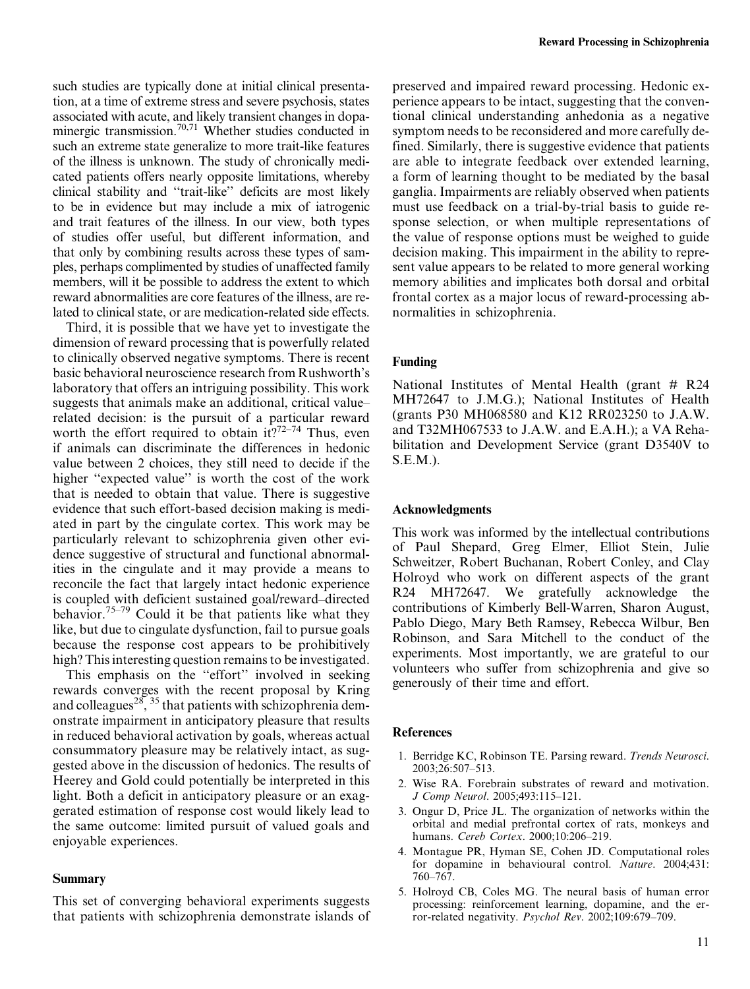such studies are typically done at initial clinical presentation, at a time of extreme stress and severe psychosis, states associated with acute, and likely transient changes in dopaminergic transmission.<sup>70,71</sup> Whether studies conducted in such an extreme state generalize to more trait-like features of the illness is unknown. The study of chronically medicated patients offers nearly opposite limitations, whereby clinical stability and ''trait-like'' deficits are most likely to be in evidence but may include a mix of iatrogenic and trait features of the illness. In our view, both types of studies offer useful, but different information, and that only by combining results across these types of samples, perhaps complimented by studies of unaffected family members, will it be possible to address the extent to which reward abnormalities are core features of the illness, are related to clinical state, or are medication-related side effects.

Third, it is possible that we have yet to investigate the dimension of reward processing that is powerfully related to clinically observed negative symptoms. There is recent basic behavioral neuroscience research from Rushworth's laboratory that offers an intriguing possibility. This work suggests that animals make an additional, critical value– related decision: is the pursuit of a particular reward worth the effort required to obtain  $it?$ <sup>72–74</sup> Thus, even if animals can discriminate the differences in hedonic value between 2 choices, they still need to decide if the higher ''expected value'' is worth the cost of the work that is needed to obtain that value. There is suggestive evidence that such effort-based decision making is mediated in part by the cingulate cortex. This work may be particularly relevant to schizophrenia given other evidence suggestive of structural and functional abnormalities in the cingulate and it may provide a means to reconcile the fact that largely intact hedonic experience is coupled with deficient sustained goal/reward–directed behavior.<sup>75–79</sup> Could it be that patients like what they like, but due to cingulate dysfunction, fail to pursue goals because the response cost appears to be prohibitively high? This interesting question remains to be investigated.

This emphasis on the ''effort'' involved in seeking rewards converges with the recent proposal by Kring and colleagues<sup>28</sup>, <sup>35</sup> that patients with schizophrenia demonstrate impairment in anticipatory pleasure that results in reduced behavioral activation by goals, whereas actual consummatory pleasure may be relatively intact, as suggested above in the discussion of hedonics. The results of Heerey and Gold could potentially be interpreted in this light. Both a deficit in anticipatory pleasure or an exaggerated estimation of response cost would likely lead to the same outcome: limited pursuit of valued goals and enjoyable experiences.

#### Summary

This set of converging behavioral experiments suggests that patients with schizophrenia demonstrate islands of preserved and impaired reward processing. Hedonic experience appears to be intact, suggesting that the conventional clinical understanding anhedonia as a negative symptom needs to be reconsidered and more carefully defined. Similarly, there is suggestive evidence that patients are able to integrate feedback over extended learning, a form of learning thought to be mediated by the basal ganglia. Impairments are reliably observed when patients must use feedback on a trial-by-trial basis to guide response selection, or when multiple representations of the value of response options must be weighed to guide decision making. This impairment in the ability to represent value appears to be related to more general working memory abilities and implicates both dorsal and orbital frontal cortex as a major locus of reward-processing abnormalities in schizophrenia.

#### Funding

National Institutes of Mental Health (grant # R24 MH72647 to J.M.G.); National Institutes of Health (grants P30 MH068580 and K12 RR023250 to J.A.W. and T32MH067533 to J.A.W. and E.A.H.); a VA Rehabilitation and Development Service (grant D3540V to S.E.M.).

#### Acknowledgments

This work was informed by the intellectual contributions of Paul Shepard, Greg Elmer, Elliot Stein, Julie Schweitzer, Robert Buchanan, Robert Conley, and Clay Holroyd who work on different aspects of the grant R24 MH72647. We gratefully acknowledge the contributions of Kimberly Bell-Warren, Sharon August, Pablo Diego, Mary Beth Ramsey, Rebecca Wilbur, Ben Robinson, and Sara Mitchell to the conduct of the experiments. Most importantly, we are grateful to our volunteers who suffer from schizophrenia and give so generously of their time and effort.

#### References

- 1. Berridge KC, Robinson TE. Parsing reward. Trends Neurosci. 2003;26:507–513.
- 2. Wise RA. Forebrain substrates of reward and motivation. J Comp Neurol. 2005;493:115–121.
- 3. Ongur D, Price JL. The organization of networks within the orbital and medial prefrontal cortex of rats, monkeys and humans. Cereb Cortex. 2000;10:206–219.
- 4. Montague PR, Hyman SE, Cohen JD. Computational roles for dopamine in behavioural control. Nature. 2004;431: 760–767.
- 5. Holroyd CB, Coles MG. The neural basis of human error processing: reinforcement learning, dopamine, and the error-related negativity. Psychol Rev. 2002;109:679–709.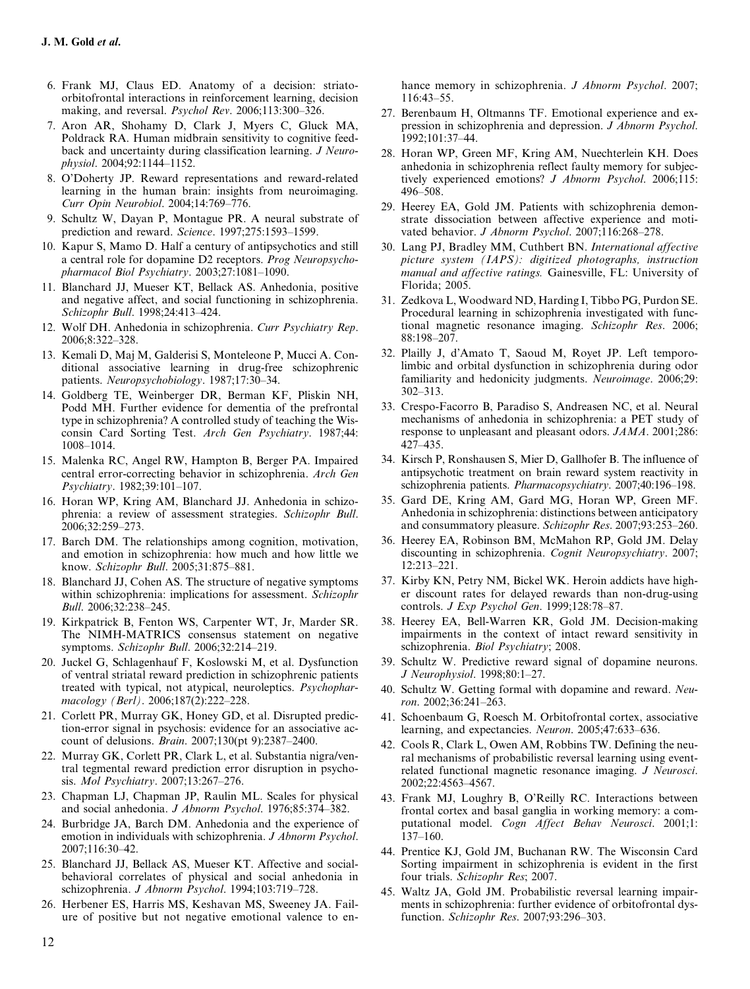- 6. Frank MJ, Claus ED. Anatomy of a decision: striatoorbitofrontal interactions in reinforcement learning, decision making, and reversal. Psychol Rev. 2006;113:300–326.
- 7. Aron AR, Shohamy D, Clark J, Myers C, Gluck MA, Poldrack RA. Human midbrain sensitivity to cognitive feedback and uncertainty during classification learning. J Neurophysiol. 2004;92:1144–1152.
- 8. O'Doherty JP. Reward representations and reward-related learning in the human brain: insights from neuroimaging. Curr Opin Neurobiol. 2004;14:769–776.
- 9. Schultz W, Dayan P, Montague PR. A neural substrate of prediction and reward. Science. 1997;275:1593–1599.
- 10. Kapur S, Mamo D. Half a century of antipsychotics and still a central role for dopamine D2 receptors. Prog Neuropsychopharmacol Biol Psychiatry. 2003;27:1081–1090.
- 11. Blanchard JJ, Mueser KT, Bellack AS. Anhedonia, positive and negative affect, and social functioning in schizophrenia. Schizophr Bull. 1998;24:413–424.
- 12. Wolf DH. Anhedonia in schizophrenia. Curr Psychiatry Rep. 2006;8:322–328.
- 13. Kemali D, Maj M, Galderisi S, Monteleone P, Mucci A. Conditional associative learning in drug-free schizophrenic patients. Neuropsychobiology. 1987;17:30–34.
- 14. Goldberg TE, Weinberger DR, Berman KF, Pliskin NH, Podd MH. Further evidence for dementia of the prefrontal type in schizophrenia? A controlled study of teaching the Wisconsin Card Sorting Test. Arch Gen Psychiatry. 1987;44: 1008–1014.
- 15. Malenka RC, Angel RW, Hampton B, Berger PA. Impaired central error-correcting behavior in schizophrenia. Arch Gen Psychiatry. 1982;39:101–107.
- 16. Horan WP, Kring AM, Blanchard JJ. Anhedonia in schizophrenia: a review of assessment strategies. Schizophr Bull. 2006;32:259–273.
- 17. Barch DM. The relationships among cognition, motivation, and emotion in schizophrenia: how much and how little we know. Schizophr Bull. 2005;31:875–881.
- 18. Blanchard JJ, Cohen AS. The structure of negative symptoms within schizophrenia: implications for assessment. Schizophr Bull. 2006;32:238–245.
- 19. Kirkpatrick B, Fenton WS, Carpenter WT, Jr, Marder SR. The NIMH-MATRICS consensus statement on negative symptoms. Schizophr Bull. 2006;32:214–219.
- 20. Juckel G, Schlagenhauf F, Koslowski M, et al. Dysfunction of ventral striatal reward prediction in schizophrenic patients treated with typical, not atypical, neuroleptics. Psychopharmacology (Berl). 2006;187(2):222–228.
- 21. Corlett PR, Murray GK, Honey GD, et al. Disrupted prediction-error signal in psychosis: evidence for an associative account of delusions. Brain. 2007;130(pt 9):2387–2400.
- 22. Murray GK, Corlett PR, Clark L, et al. Substantia nigra/ventral tegmental reward prediction error disruption in psychosis. Mol Psychiatry. 2007;13:267–276.
- 23. Chapman LJ, Chapman JP, Raulin ML. Scales for physical and social anhedonia. J Abnorm Psychol. 1976;85:374–382.
- 24. Burbridge JA, Barch DM. Anhedonia and the experience of emotion in individuals with schizophrenia. J Abnorm Psychol. 2007;116:30–42.
- 25. Blanchard JJ, Bellack AS, Mueser KT. Affective and socialbehavioral correlates of physical and social anhedonia in schizophrenia. J Abnorm Psychol. 1994;103:719–728.
- 26. Herbener ES, Harris MS, Keshavan MS, Sweeney JA. Failure of positive but not negative emotional valence to en-

hance memory in schizophrenia. *J Abnorm Psychol*. 2007; 116:43–55.

- 27. Berenbaum H, Oltmanns TF. Emotional experience and expression in schizophrenia and depression. J Abnorm Psychol. 1992;101:37–44.
- 28. Horan WP, Green MF, Kring AM, Nuechterlein KH. Does anhedonia in schizophrenia reflect faulty memory for subjectively experienced emotions? *J Abnorm Psychol.* 2006;115: 496–508.
- 29. Heerey EA, Gold JM. Patients with schizophrenia demonstrate dissociation between affective experience and motivated behavior. J Abnorm Psychol. 2007;116:268–278.
- 30. Lang PJ, Bradley MM, Cuthbert BN. International affective picture system (IAPS): digitized photographs, instruction manual and affective ratings. Gainesville, FL: University of Florida; 2005.
- 31. Zedkova L, Woodward ND, Harding I, Tibbo PG, Purdon SE. Procedural learning in schizophrenia investigated with functional magnetic resonance imaging. Schizophr Res. 2006; 88:198–207.
- 32. Plailly J, d'Amato T, Saoud M, Royet JP. Left temporolimbic and orbital dysfunction in schizophrenia during odor familiarity and hedonicity judgments. Neuroimage. 2006;29: 302–313.
- 33. Crespo-Facorro B, Paradiso S, Andreasen NC, et al. Neural mechanisms of anhedonia in schizophrenia: a PET study of response to unpleasant and pleasant odors. JAMA. 2001;286: 427–435.
- 34. Kirsch P, Ronshausen S, Mier D, Gallhofer B. The influence of antipsychotic treatment on brain reward system reactivity in schizophrenia patients. Pharmacopsychiatry. 2007;40:196–198.
- 35. Gard DE, Kring AM, Gard MG, Horan WP, Green MF. Anhedonia in schizophrenia: distinctions between anticipatory and consummatory pleasure. Schizophr Res. 2007;93:253–260.
- 36. Heerey EA, Robinson BM, McMahon RP, Gold JM. Delay discounting in schizophrenia. Cognit Neuropsychiatry. 2007; 12:213–221.
- 37. Kirby KN, Petry NM, Bickel WK. Heroin addicts have higher discount rates for delayed rewards than non-drug-using controls. J Exp Psychol Gen. 1999;128:78–87.
- 38. Heerey EA, Bell-Warren KR, Gold JM. Decision-making impairments in the context of intact reward sensitivity in schizophrenia. Biol Psychiatry; 2008.
- 39. Schultz W. Predictive reward signal of dopamine neurons. J Neurophysiol. 1998;80:1–27.
- 40. Schultz W. Getting formal with dopamine and reward. Neuron. 2002;36:241–263.
- 41. Schoenbaum G, Roesch M. Orbitofrontal cortex, associative learning, and expectancies. Neuron. 2005;47:633–636.
- 42. Cools R, Clark L, Owen AM, Robbins TW. Defining the neural mechanisms of probabilistic reversal learning using eventrelated functional magnetic resonance imaging. J Neurosci. 2002;22:4563–4567.
- 43. Frank MJ, Loughry B, O'Reilly RC. Interactions between frontal cortex and basal ganglia in working memory: a computational model. Cogn Affect Behav Neurosci. 2001;1: 137–160.
- 44. Prentice KJ, Gold JM, Buchanan RW. The Wisconsin Card Sorting impairment in schizophrenia is evident in the first four trials. Schizophr Res; 2007.
- 45. Waltz JA, Gold JM. Probabilistic reversal learning impairments in schizophrenia: further evidence of orbitofrontal dysfunction. Schizophr Res. 2007;93:296–303.